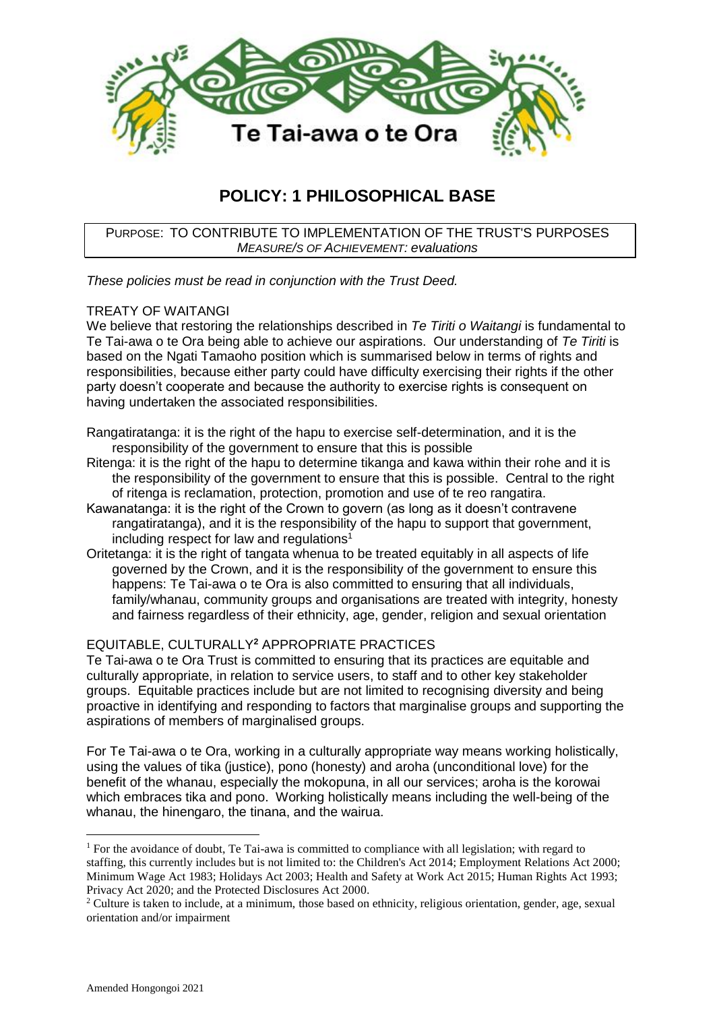

# **POLICY: 1 PHILOSOPHICAL BASE**

PURPOSE: TO CONTRIBUTE TO IMPLEMENTATION OF THE TRUST'S PURPOSES *MEASURE/S OF ACHIEVEMENT: evaluations*

*These policies must be read in conjunction with the Trust Deed.*

## TREATY OF WAITANGI

We believe that restoring the relationships described in *Te Tiriti o Waitangi* is fundamental to Te Tai-awa o te Ora being able to achieve our aspirations. Our understanding of *Te Tiriti* is based on the Ngati Tamaoho position which is summarised below in terms of rights and responsibilities, because either party could have difficulty exercising their rights if the other party doesn't cooperate and because the authority to exercise rights is consequent on having undertaken the associated responsibilities.

Rangatiratanga: it is the right of the hapu to exercise self-determination, and it is the responsibility of the government to ensure that this is possible

- Ritenga: it is the right of the hapu to determine tikanga and kawa within their rohe and it is the responsibility of the government to ensure that this is possible. Central to the right of ritenga is reclamation, protection, promotion and use of te reo rangatira.
- Kawanatanga: it is the right of the Crown to govern (as long as it doesn't contravene rangatiratanga), and it is the responsibility of the hapu to support that government, including respect for law and regulations<sup>1</sup>
- Oritetanga: it is the right of tangata whenua to be treated equitably in all aspects of life governed by the Crown, and it is the responsibility of the government to ensure this happens: Te Tai-awa o te Ora is also committed to ensuring that all individuals, family/whanau, community groups and organisations are treated with integrity, honesty and fairness regardless of their ethnicity, age, gender, religion and sexual orientation

## EQUITABLE, CULTURALLY**<sup>2</sup>** APPROPRIATE PRACTICES

Te Tai-awa o te Ora Trust is committed to ensuring that its practices are equitable and culturally appropriate, in relation to service users, to staff and to other key stakeholder groups. Equitable practices include but are not limited to recognising diversity and being proactive in identifying and responding to factors that marginalise groups and supporting the aspirations of members of marginalised groups.

For Te Tai-awa o te Ora, working in a culturally appropriate way means working holistically, using the values of tika (justice), pono (honesty) and aroha (unconditional love) for the benefit of the whanau, especially the mokopuna, in all our services; aroha is the korowai which embraces tika and pono. Working holistically means including the well-being of the whanau, the hinengaro, the tinana, and the wairua.

1

<sup>&</sup>lt;sup>1</sup> For the avoidance of doubt, Te Tai-awa is committed to compliance with all legislation; with regard to staffing, this currently includes but is not limited to: the Children's Act 2014; Employment Relations Act 2000; Minimum Wage Act 1983; Holidays Act 2003; Health and Safety at Work Act 2015; Human Rights Act 1993; Privacy Act 2020; and the Protected Disclosures Act 2000.

<sup>&</sup>lt;sup>2</sup> Culture is taken to include, at a minimum, those based on ethnicity, religious orientation, gender, age, sexual orientation and/or impairment